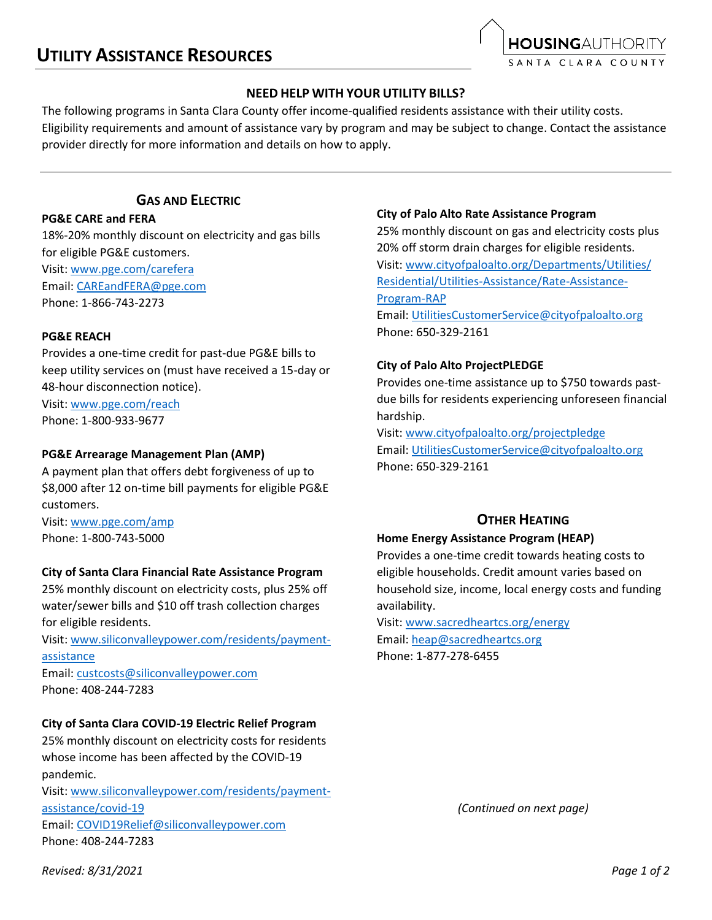

### **NEED HELP WITH YOUR UTILITY BILLS?**

The following programs in Santa Clara County offer income-qualified residents assistance with their utility costs. Eligibility requirements and amount of assistance vary by program and may be subject to change. Contact the assistance provider directly for more information and details on how to apply.

# **GAS AND ELECTRIC**

### **PG&E CARE and FERA**

18%-20% monthly discount on electricity and gas bills for eligible PG&E customers.

Visit[: www.pge.com/carefera](https://www.pge.com/carefera) Email: [CAREandFERA@pge.com](mailto:CAREandFERA@pge.com) Phone: 1-866-743-2273

### **PG&E REACH**

Provides a one-time credit for past-due PG&E bills to keep utility services on (must have received a 15-day or 48-hour disconnection notice). Visit[: www.pge.com/reach](https://www.pge.com/reach)

Phone: 1-800-933-9677

### **PG&E Arrearage Management Plan (AMP)**

A payment plan that offers debt forgiveness of up to \$8,000 after 12 on-time bill payments for eligible PG&E customers.

Visit: [www.pge.com/amp](http://www.pge.com/amp) Phone: 1-800-743-5000

### **City of Santa Clara Financial Rate Assistance Program**

25% monthly discount on electricity costs, plus 25% off water/sewer bills and \$10 off trash collection charges for eligible residents.

Visit: [www.siliconvalleypower.com/residents/payment](http://www.siliconvalleypower.com/residents/payment-assistance)[assistance](http://www.siliconvalleypower.com/residents/payment-assistance)

Email: [custcosts@siliconvalleypower.com](mailto:custcosts@siliconvalleypower.com) Phone: 408-244-7283

### **City of Santa Clara COVID-19 Electric Relief Program**

25% monthly discount on electricity costs for residents whose income has been affected by the COVID-19 pandemic.

Visit: [www.siliconvalleypower.com/residents/payment](http://www.siliconvalleypower.com/residents/payment-assistance/covid-19)[assistance/covid-19](http://www.siliconvalleypower.com/residents/payment-assistance/covid-19) Email: [COVID19Relief@siliconvalleypower.com](mailto:COVID19Relief@siliconvalleypower.com) Phone: 408-244-7283

#### **City of Palo Alto Rate Assistance Program**

25% monthly discount on gas and electricity costs plus 20% off storm drain charges for eligible residents. Visit: [www.cityofpaloalto.org/Departments/Utilities/](http://www.cityofpaloalto.org/Departments/Utilities/‌Residential/Utilities-Assistance/Rate-Assistance-Program-RAP) [Residential/Utilities-Assistance/Rate-Assistance-](http://www.cityofpaloalto.org/Departments/Utilities/‌Residential/Utilities-Assistance/Rate-Assistance-Program-RAP)[Program-RAP](http://www.cityofpaloalto.org/Departments/Utilities/‌Residential/Utilities-Assistance/Rate-Assistance-Program-RAP) Email: [UtilitiesCustomerService@cityofpaloalto.org](mailto:UtilitiesCustomerService@cityofpaloalto.org) Phone: 650-329-2161

### **City of Palo Alto ProjectPLEDGE**

Provides one-time assistance up to \$750 towards pastdue bills for residents experiencing unforeseen financial hardship.

Visit: [www.cityofpaloalto.org/projectpledge](http://www.cityofpaloalto.org/projectpledge) Email: [UtilitiesCustomerService@cityofpaloalto.org](mailto:UtilitiesCustomerService@cityofpaloalto.org) Phone: 650-329-2161

# **OTHER HEATING**

### **Home Energy Assistance Program (HEAP)**

Provides a one-time credit towards heating costs to eligible households. Credit amount varies based on household size, income, local energy costs and funding availability.

Visit[: www.sacredheartcs.org/energy](http://www.sacredheartcs.org/energy/) Email: [heap@sacredheartcs.org](mailto:heap@sacredheartcs.org) Phone: 1-877-278-6455

*(Continued on next page)*